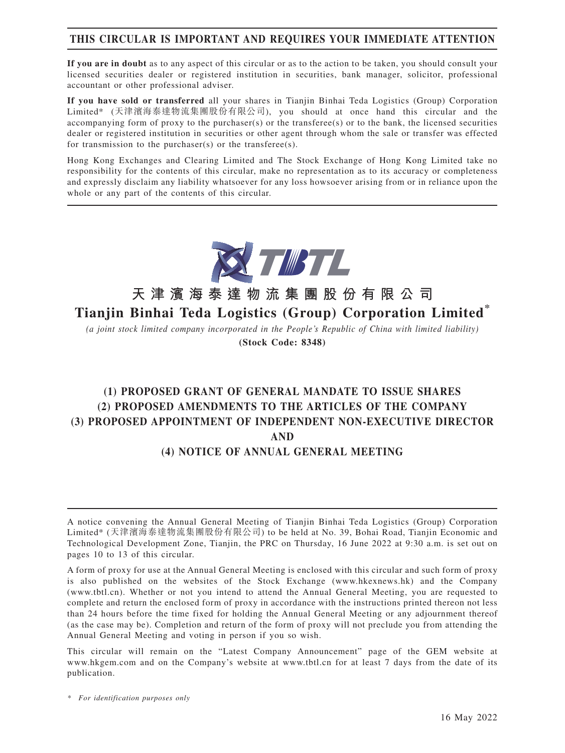# **THIS CIRCULAR IS IMPORTANT AND REQUIRES YOUR IMMEDIATE ATTENTION**

**If you are in doubt** as to any aspect of this circular or as to the action to be taken, you should consult your licensed securities dealer or registered institution in securities, bank manager, solicitor, professional accountant or other professional adviser.

**If you have sold or transferred** all your shares in Tianjin Binhai Teda Logistics (Group) Corporation Limited\* (天津濱海泰達物流集團股份有限公司), you should at once hand this circular and the accompanying form of proxy to the purchaser(s) or the transferee(s) or to the bank, the licensed securities dealer or registered institution in securities or other agent through whom the sale or transfer was effected for transmission to the purchaser(s) or the transferee(s).

Hong Kong Exchanges and Clearing Limited and The Stock Exchange of Hong Kong Limited take no responsibility for the contents of this circular, make no representation as to its accuracy or completeness and expressly disclaim any liability whatsoever for any loss howsoever arising from or in reliance upon the whole or any part of the contents of this circular.



# **天津濱海泰達物流集團股份有限公司 Tianjin Binhai Teda Logistics (Group) Corporation Limited\***

*(a joint stock limited company incorporated in the People's Republic of China with limited liability)* **(Stock Code: 8348)**

# **(1) PROPOSED GRANT OF GENERAL MANDATE TO ISSUE SHARES (2) PROPOSED AMENDMENTS TO THE ARTICLES OF THE COMPANY (3) PROPOSED APPOINTMENT OF INDEPENDENT NON-EXECUTIVE DIRECTOR AND**

# **(4) NOTICE OF ANNUAL GENERAL MEETING**

A form of proxy for use at the Annual General Meeting is enclosed with this circular and such form of proxy is also published on the websites of the Stock Exchange (www.hkexnews.hk) and the Company (www.tbtl.cn). Whether or not you intend to attend the Annual General Meeting, you are requested to complete and return the enclosed form of proxy in accordance with the instructions printed thereon not less than 24 hours before the time fixed for holding the Annual General Meeting or any adjournment thereof (as the case may be). Completion and return of the form of proxy will not preclude you from attending the Annual General Meeting and voting in person if you so wish.

This circular will remain on the "Latest Company Announcement" page of the GEM website at www.hkgem.com and on the Company's website at www.tbtl.cn for at least 7 days from the date of its publication.

A notice convening the Annual General Meeting of Tianjin Binhai Teda Logistics (Group) Corporation Limited\* (天津濱海泰達物流集團股份有限公司) to be held at No. 39, Bohai Road, Tianjin Economic and Technological Development Zone, Tianjin, the PRC on Thursday, 16 June 2022 at 9:30 a.m. is set out on pages 10 to 13 of this circular.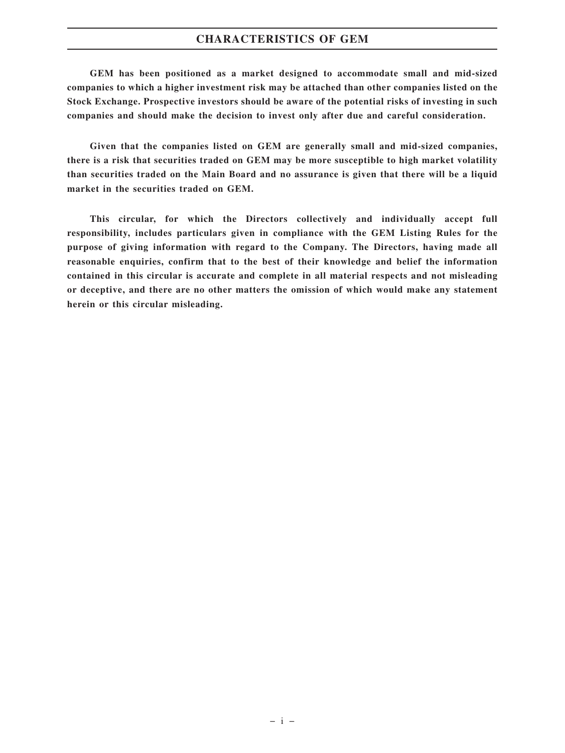#### **CHARACTERISTICS OF GEM**

**GEM has been positioned as a market designed to accommodate small and mid-sized companies to which a higher investment risk may be attached than other companies listed on the Stock Exchange. Prospective investors should be aware of the potential risks of investing in such companies and should make the decision to invest only after due and careful consideration.**

**Given that the companies listed on GEM are generally small and mid-sized companies, there is a risk that securities traded on GEM may be more susceptible to high market volatility than securities traded on the Main Board and no assurance is given that there will be a liquid market in the securities traded on GEM.**

**This circular, for which the Directors collectively and individually accept full responsibility, includes particulars given in compliance with the GEM Listing Rules for the purpose of giving information with regard to the Company. The Directors, having made all reasonable enquiries, confirm that to the best of their knowledge and belief the information contained in this circular is accurate and complete in all material respects and not misleading or deceptive, and there are no other matters the omission of which would make any statement herein or this circular misleading.**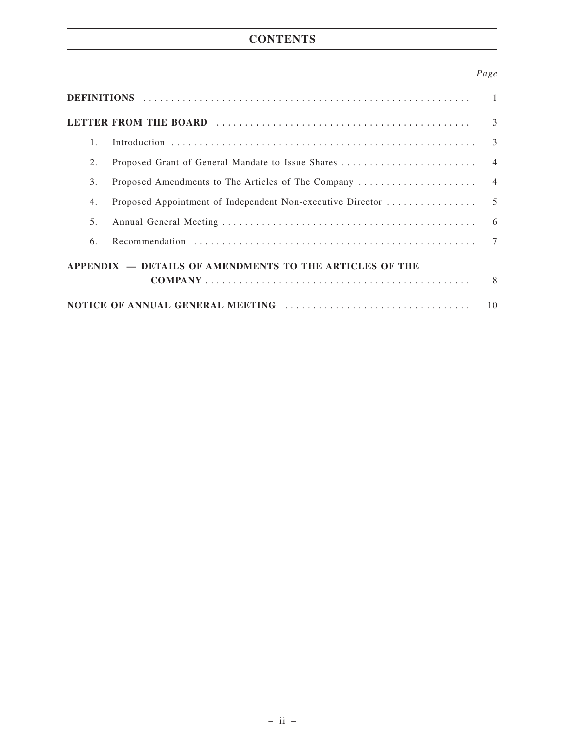# **CONTENTS**

### *Page*

|                                                         |  | $\mathcal{E}$ |  |  |
|---------------------------------------------------------|--|---------------|--|--|
| $1_{-}$                                                 |  |               |  |  |
| 2.                                                      |  |               |  |  |
| 3.                                                      |  |               |  |  |
| 4.                                                      |  |               |  |  |
| 5.                                                      |  |               |  |  |
| 6.                                                      |  |               |  |  |
| APPENDIX - DETAILS OF AMENDMENTS TO THE ARTICLES OF THE |  |               |  |  |
|                                                         |  |               |  |  |
| 10                                                      |  |               |  |  |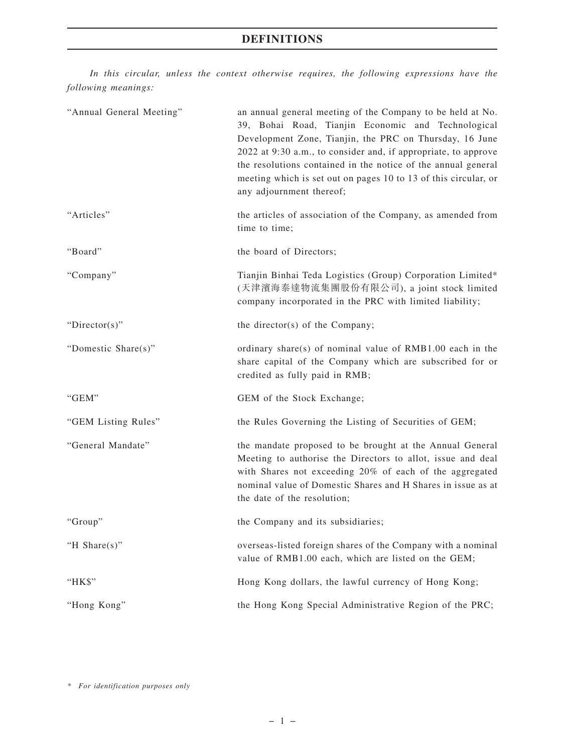## **DEFINITIONS**

*In this circular, unless the context otherwise requires, the following expressions have the following meanings:*

| "Annual General Meeting" | an annual general meeting of the Company to be held at No.<br>39, Bohai Road, Tianjin Economic and Technological<br>Development Zone, Tianjin, the PRC on Thursday, 16 June<br>2022 at 9:30 a.m., to consider and, if appropriate, to approve<br>the resolutions contained in the notice of the annual general<br>meeting which is set out on pages 10 to 13 of this circular, or<br>any adjournment thereof; |
|--------------------------|---------------------------------------------------------------------------------------------------------------------------------------------------------------------------------------------------------------------------------------------------------------------------------------------------------------------------------------------------------------------------------------------------------------|
| "Articles"               | the articles of association of the Company, as amended from<br>time to time;                                                                                                                                                                                                                                                                                                                                  |
| "Board"                  | the board of Directors;                                                                                                                                                                                                                                                                                                                                                                                       |
| "Company"                | Tianjin Binhai Teda Logistics (Group) Corporation Limited*<br>(天津濱海泰達物流集團股份有限公司), a joint stock limited<br>company incorporated in the PRC with limited liability;                                                                                                                                                                                                                                            |
| "Director(s)"            | the director(s) of the Company;                                                                                                                                                                                                                                                                                                                                                                               |
| "Domestic Share(s)"      | ordinary share(s) of nominal value of RMB1.00 each in the<br>share capital of the Company which are subscribed for or<br>credited as fully paid in RMB;                                                                                                                                                                                                                                                       |
| "GEM"                    | GEM of the Stock Exchange;                                                                                                                                                                                                                                                                                                                                                                                    |
| "GEM Listing Rules"      | the Rules Governing the Listing of Securities of GEM;                                                                                                                                                                                                                                                                                                                                                         |
| "General Mandate"        | the mandate proposed to be brought at the Annual General<br>Meeting to authorise the Directors to allot, issue and deal<br>with Shares not exceeding 20% of each of the aggregated<br>nominal value of Domestic Shares and H Shares in issue as at<br>the date of the resolution;                                                                                                                             |
| "Group"                  | the Company and its subsidiaries;                                                                                                                                                                                                                                                                                                                                                                             |
| "H Share $(s)$ "         | overseas-listed foreign shares of the Company with a nominal<br>value of RMB1.00 each, which are listed on the GEM;                                                                                                                                                                                                                                                                                           |
| "HK\$"                   | Hong Kong dollars, the lawful currency of Hong Kong;                                                                                                                                                                                                                                                                                                                                                          |
| "Hong Kong"              | the Hong Kong Special Administrative Region of the PRC;                                                                                                                                                                                                                                                                                                                                                       |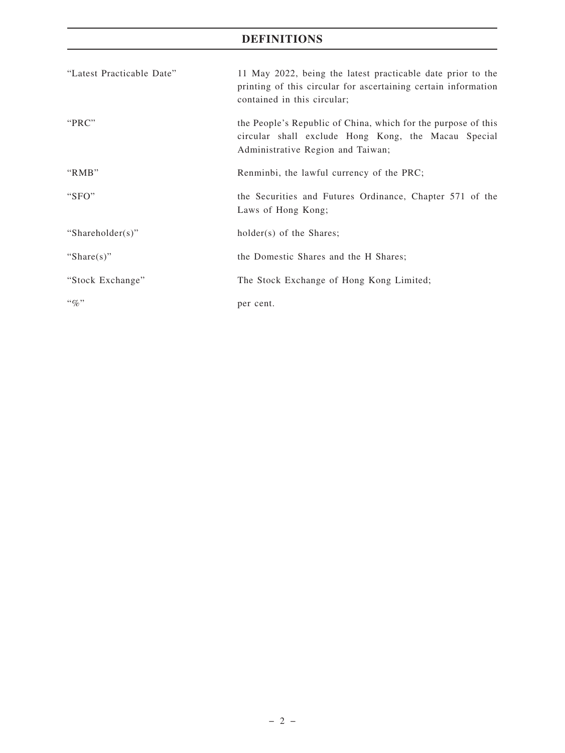# **DEFINITIONS**

| "Latest Practicable Date" | 11 May 2022, being the latest practicable date prior to the<br>printing of this circular for ascertaining certain information<br>contained in this circular; |
|---------------------------|--------------------------------------------------------------------------------------------------------------------------------------------------------------|
| "PRC"                     | the People's Republic of China, which for the purpose of this<br>circular shall exclude Hong Kong, the Macau Special<br>Administrative Region and Taiwan;    |
| " $RMB"$                  | Renminbi, the lawful currency of the PRC;                                                                                                                    |
| "SFO"                     | the Securities and Futures Ordinance, Chapter 571 of the<br>Laws of Hong Kong;                                                                               |
| "Shareholder(s)"          | $holder(s)$ of the Shares;                                                                                                                                   |
| "Share $(s)$ "            | the Domestic Shares and the H Shares;                                                                                                                        |
| "Stock Exchange"          | The Stock Exchange of Hong Kong Limited;                                                                                                                     |
| $\lq\lq q_0$ "            | per cent.                                                                                                                                                    |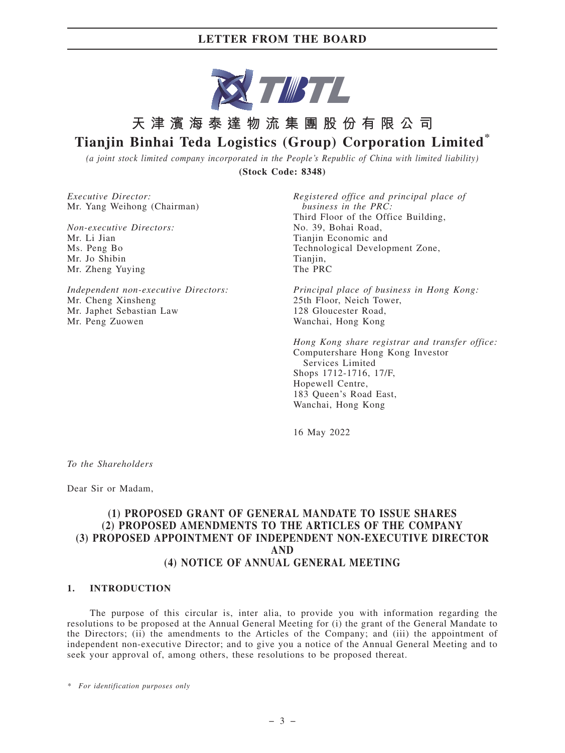

# **天津濱海泰達物流集團股份有限公司 Tianjin Binhai Teda Logistics (Group) Corporation Limited\***

*(a joint stock limited company incorporated in the People's Republic of China with limited liability)* **(Stock Code: 8348)**

*Executive Director:* Mr. Yang Weihong (Chairman)

*Non-executive Directors:* Mr. Li Jian Ms. Peng Bo Mr. Jo Shibin Mr. Zheng Yuying

*Independent non-executive Directors:* Mr. Cheng Xinsheng Mr. Japhet Sebastian Law Mr. Peng Zuowen

*Registered office and principal place of business in the PRC:* Third Floor of the Office Building, No. 39, Bohai Road, Tianjin Economic and Technological Development Zone, Tianiin. The PRC

*Principal place of business in Hong Kong:* 25th Floor, Neich Tower, 128 Gloucester Road, Wanchai, Hong Kong

*Hong Kong share registrar and transfer office:* Computershare Hong Kong Investor Services Limited Shops 1712-1716, 17/F, Hopewell Centre, 183 Queen's Road East, Wanchai, Hong Kong

16 May 2022

*To the Shareholders*

Dear Sir or Madam,

#### **(1) PROPOSED GRANT OF GENERAL MANDATE TO ISSUE SHARES (2) PROPOSED AMENDMENTS TO THE ARTICLES OF THE COMPANY (3) PROPOSED APPOINTMENT OF INDEPENDENT NON-EXECUTIVE DIRECTOR AND (4) NOTICE OF ANNUAL GENERAL MEETING**

#### **1. INTRODUCTION**

The purpose of this circular is, inter alia, to provide you with information regarding the resolutions to be proposed at the Annual General Meeting for (i) the grant of the General Mandate to the Directors; (ii) the amendments to the Articles of the Company; and (iii) the appointment of independent non-executive Director; and to give you a notice of the Annual General Meeting and to seek your approval of, among others, these resolutions to be proposed thereat.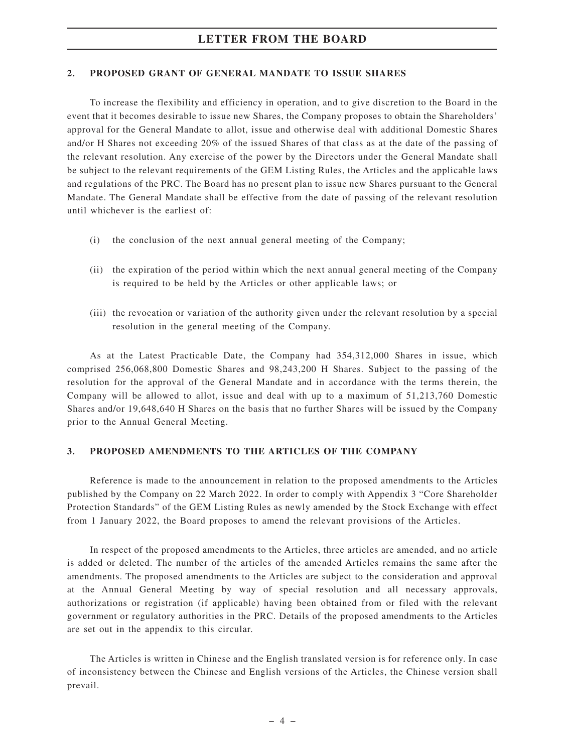#### **2. PROPOSED GRANT OF GENERAL MANDATE TO ISSUE SHARES**

To increase the flexibility and efficiency in operation, and to give discretion to the Board in the event that it becomes desirable to issue new Shares, the Company proposes to obtain the Shareholders' approval for the General Mandate to allot, issue and otherwise deal with additional Domestic Shares and/or H Shares not exceeding 20% of the issued Shares of that class as at the date of the passing of the relevant resolution. Any exercise of the power by the Directors under the General Mandate shall be subject to the relevant requirements of the GEM Listing Rules, the Articles and the applicable laws and regulations of the PRC. The Board has no present plan to issue new Shares pursuant to the General Mandate. The General Mandate shall be effective from the date of passing of the relevant resolution until whichever is the earliest of:

- (i) the conclusion of the next annual general meeting of the Company;
- (ii) the expiration of the period within which the next annual general meeting of the Company is required to be held by the Articles or other applicable laws; or
- (iii) the revocation or variation of the authority given under the relevant resolution by a special resolution in the general meeting of the Company.

As at the Latest Practicable Date, the Company had 354,312,000 Shares in issue, which comprised 256,068,800 Domestic Shares and 98,243,200 H Shares. Subject to the passing of the resolution for the approval of the General Mandate and in accordance with the terms therein, the Company will be allowed to allot, issue and deal with up to a maximum of 51,213,760 Domestic Shares and/or 19,648,640 H Shares on the basis that no further Shares will be issued by the Company prior to the Annual General Meeting.

#### **3. PROPOSED AMENDMENTS TO THE ARTICLES OF THE COMPANY**

Reference is made to the announcement in relation to the proposed amendments to the Articles published by the Company on 22 March 2022. In order to comply with Appendix 3 "Core Shareholder Protection Standards" of the GEM Listing Rules as newly amended by the Stock Exchange with effect from 1 January 2022, the Board proposes to amend the relevant provisions of the Articles.

In respect of the proposed amendments to the Articles, three articles are amended, and no article is added or deleted. The number of the articles of the amended Articles remains the same after the amendments. The proposed amendments to the Articles are subject to the consideration and approval at the Annual General Meeting by way of special resolution and all necessary approvals, authorizations or registration (if applicable) having been obtained from or filed with the relevant government or regulatory authorities in the PRC. Details of the proposed amendments to the Articles are set out in the appendix to this circular.

The Articles is written in Chinese and the English translated version is for reference only. In case of inconsistency between the Chinese and English versions of the Articles, the Chinese version shall prevail.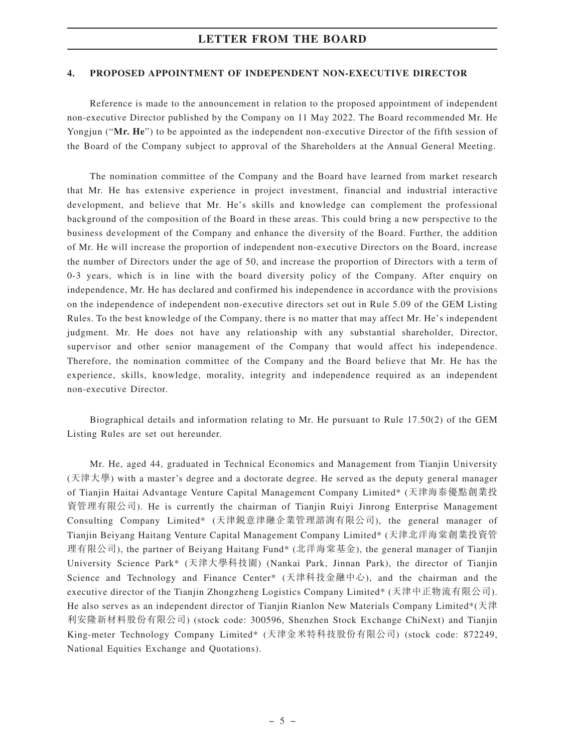#### **4. PROPOSED APPOINTMENT OF INDEPENDENT NON-EXECUTIVE DIRECTOR**

Reference is made to the announcement in relation to the proposed appointment of independent non-executive Director published by the Company on 11 May 2022. The Board recommended Mr. He Yongjun ("Mr. He") to be appointed as the independent non-executive Director of the fifth session of the Board of the Company subject to approval of the Shareholders at the Annual General Meeting.

The nomination committee of the Company and the Board have learned from market research that Mr. He has extensive experience in project investment, financial and industrial interactive development, and believe that Mr. He's skills and knowledge can complement the professional background of the composition of the Board in these areas. This could bring a new perspective to the business development of the Company and enhance the diversity of the Board. Further, the addition of Mr. He will increase the proportion of independent non-executive Directors on the Board, increase the number of Directors under the age of 50, and increase the proportion of Directors with a term of 0-3 years, which is in line with the board diversity policy of the Company. After enquiry on independence, Mr. He has declared and confirmed his independence in accordance with the provisions on the independence of independent non-executive directors set out in Rule 5.09 of the GEM Listing Rules. To the best knowledge of the Company, there is no matter that may affect Mr. He's independent judgment. Mr. He does not have any relationship with any substantial shareholder, Director, supervisor and other senior management of the Company that would affect his independence. Therefore, the nomination committee of the Company and the Board believe that Mr. He has the experience, skills, knowledge, morality, integrity and independence required as an independent non-executive Director.

Biographical details and information relating to Mr. He pursuant to Rule 17.50(2) of the GEM Listing Rules are set out hereunder.

Mr. He, aged 44, graduated in Technical Economics and Management from Tianjin University (天津大學) with a master's degree and a doctorate degree. He served as the deputy general manager of Tianjin Haitai Advantage Venture Capital Management Company Limited\* (天津海泰優點創業投 資管理有限公司). He is currently the chairman of Tianjin Ruiyi Jinrong Enterprise Management Consulting Company Limited\* (天津銳意津融企業管理諮詢有限公司), the general manager of Tianjin Beiyang Haitang Venture Capital Management Company Limited\* (天津北洋海棠創業投資管 理有限公司), the partner of Beiyang Haitang Fund\* (北洋海棠基金), the general manager of Tianjin University Science Park\* (天津大學科技園) (Nankai Park, Jinnan Park), the director of Tianjin Science and Technology and Finance Center\* (天津科技金融中心), and the chairman and the executive director of the Tianjin Zhongzheng Logistics Company Limited\* (天津中正物流有限公司). He also serves as an independent director of Tianjin Rianlon New Materials Company Limited\*(天津 利安隆新材料股份有限公司) (stock code: 300596, Shenzhen Stock Exchange ChiNext) and Tianjin King-meter Technology Company Limited\* (天津金米特科技股份有限公司) (stock code: 872249, National Equities Exchange and Quotations).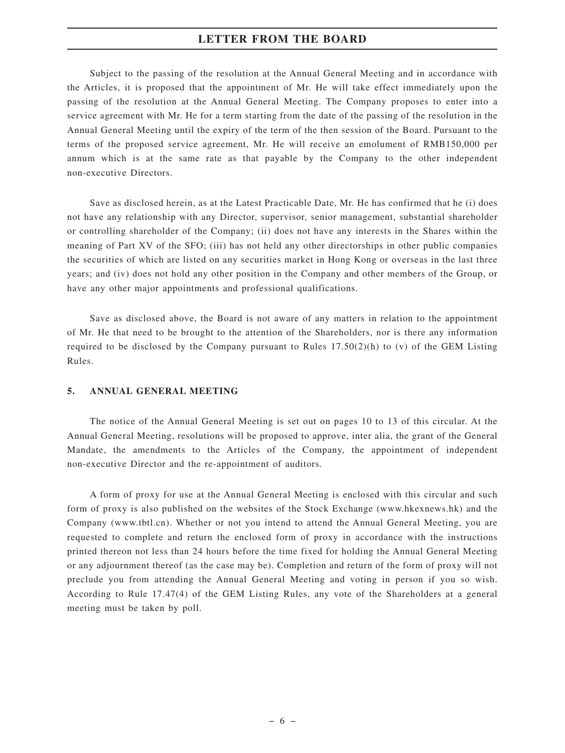Subject to the passing of the resolution at the Annual General Meeting and in accordance with the Articles, it is proposed that the appointment of Mr. He will take effect immediately upon the passing of the resolution at the Annual General Meeting. The Company proposes to enter into a service agreement with Mr. He for a term starting from the date of the passing of the resolution in the Annual General Meeting until the expiry of the term of the then session of the Board. Pursuant to the terms of the proposed service agreement, Mr. He will receive an emolument of RMB150,000 per annum which is at the same rate as that payable by the Company to the other independent non-executive Directors.

Save as disclosed herein, as at the Latest Practicable Date, Mr. He has confirmed that he (i) does not have any relationship with any Director, supervisor, senior management, substantial shareholder or controlling shareholder of the Company; (ii) does not have any interests in the Shares within the meaning of Part XV of the SFO; (iii) has not held any other directorships in other public companies the securities of which are listed on any securities market in Hong Kong or overseas in the last three years; and (iv) does not hold any other position in the Company and other members of the Group, or have any other major appointments and professional qualifications.

Save as disclosed above, the Board is not aware of any matters in relation to the appointment of Mr. He that need to be brought to the attention of the Shareholders, nor is there any information required to be disclosed by the Company pursuant to Rules  $17.50(2)(h)$  to (v) of the GEM Listing Rules.

#### **5. ANNUAL GENERAL MEETING**

The notice of the Annual General Meeting is set out on pages 10 to 13 of this circular. At the Annual General Meeting, resolutions will be proposed to approve, inter alia, the grant of the General Mandate, the amendments to the Articles of the Company, the appointment of independent non-executive Director and the re-appointment of auditors.

A form of proxy for use at the Annual General Meeting is enclosed with this circular and such form of proxy is also published on the websites of the Stock Exchange (www.hkexnews.hk) and the Company (www.tbtl.cn). Whether or not you intend to attend the Annual General Meeting, you are requested to complete and return the enclosed form of proxy in accordance with the instructions printed thereon not less than 24 hours before the time fixed for holding the Annual General Meeting or any adjournment thereof (as the case may be). Completion and return of the form of proxy will not preclude you from attending the Annual General Meeting and voting in person if you so wish. According to Rule 17.47(4) of the GEM Listing Rules, any vote of the Shareholders at a general meeting must be taken by poll.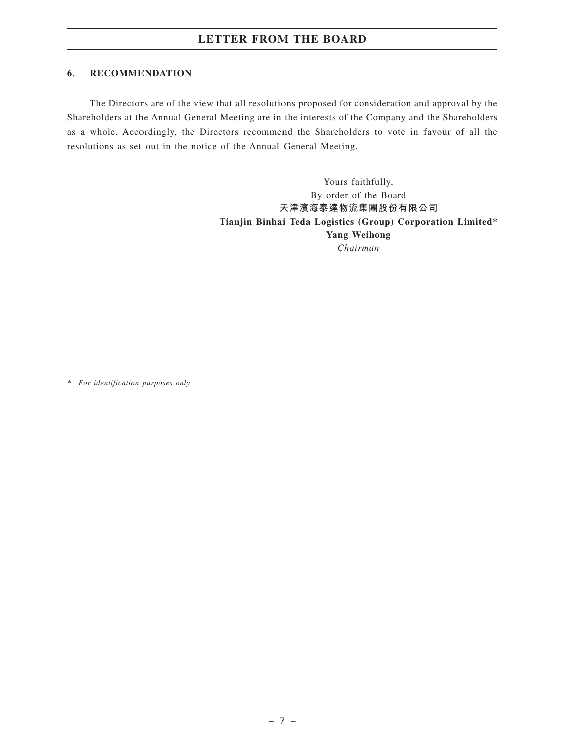#### **6. RECOMMENDATION**

The Directors are of the view that all resolutions proposed for consideration and approval by the Shareholders at the Annual General Meeting are in the interests of the Company and the Shareholders as a whole. Accordingly, the Directors recommend the Shareholders to vote in favour of all the resolutions as set out in the notice of the Annual General Meeting.

> Yours faithfully, By order of the Board **天津濱海泰達物流集團股份有限公司 Tianjin Binhai Teda Logistics (Group) Corporation Limited\* Yang Weihong** *Chairman*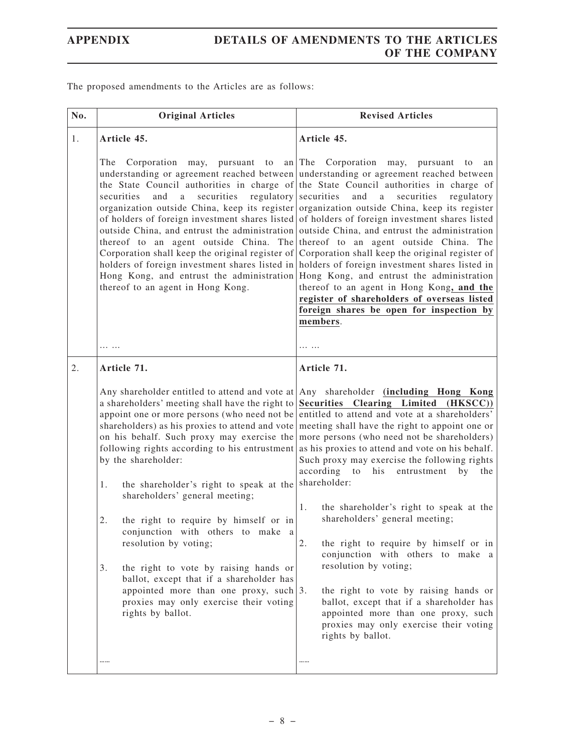The proposed amendments to the Articles are as follows:

| No. | <b>Original Articles</b>                                                                                                                                                                                                                                                                                                                                                                                                                                                                                                             | <b>Revised Articles</b>                                                                                                                                                                                                                                                                                                                                                                                                                                                                                                                                                                                                                                                                                                                                                                                                                                                                                                                                                                                                                                                                                                          |
|-----|--------------------------------------------------------------------------------------------------------------------------------------------------------------------------------------------------------------------------------------------------------------------------------------------------------------------------------------------------------------------------------------------------------------------------------------------------------------------------------------------------------------------------------------|----------------------------------------------------------------------------------------------------------------------------------------------------------------------------------------------------------------------------------------------------------------------------------------------------------------------------------------------------------------------------------------------------------------------------------------------------------------------------------------------------------------------------------------------------------------------------------------------------------------------------------------------------------------------------------------------------------------------------------------------------------------------------------------------------------------------------------------------------------------------------------------------------------------------------------------------------------------------------------------------------------------------------------------------------------------------------------------------------------------------------------|
| 1.  | Article 45.                                                                                                                                                                                                                                                                                                                                                                                                                                                                                                                          | Article 45.                                                                                                                                                                                                                                                                                                                                                                                                                                                                                                                                                                                                                                                                                                                                                                                                                                                                                                                                                                                                                                                                                                                      |
|     | The<br>Corporation may,<br>pursuant to<br>and<br>securities<br>securities<br>a<br>thereof to an agent in Hong Kong.                                                                                                                                                                                                                                                                                                                                                                                                                  | an The Corporation may,<br>pursuant<br>to<br>an<br>understanding or agreement reached between understanding or agreement reached between<br>the State Council authorities in charge of the State Council authorities in charge of<br>$regularory$ securities<br>and a<br>securities<br>regulatory<br>organization outside China, keep its register organization outside China, keep its register<br>of holders of foreign investment shares listed of holders of foreign investment shares listed<br>outside China, and entrust the administration outside China, and entrust the administration<br>thereof to an agent outside China. The thereof to an agent outside China. The<br>Corporation shall keep the original register of Corporation shall keep the original register of<br>holders of foreign investment shares listed in holders of foreign investment shares listed in<br>Hong Kong, and entrust the administration Hong Kong, and entrust the administration<br>thereof to an agent in Hong Kong, and the<br>register of shareholders of overseas listed<br>foreign shares be open for inspection by<br>members. |
|     | .                                                                                                                                                                                                                                                                                                                                                                                                                                                                                                                                    | .                                                                                                                                                                                                                                                                                                                                                                                                                                                                                                                                                                                                                                                                                                                                                                                                                                                                                                                                                                                                                                                                                                                                |
| 2.  | Article 71.                                                                                                                                                                                                                                                                                                                                                                                                                                                                                                                          | Article 71.                                                                                                                                                                                                                                                                                                                                                                                                                                                                                                                                                                                                                                                                                                                                                                                                                                                                                                                                                                                                                                                                                                                      |
|     | Any shareholder entitled to attend and vote at<br>a shareholders' meeting shall have the right to<br>by the shareholder:<br>the shareholder's right to speak at the<br>1.<br>shareholders' general meeting;<br>2.<br>the right to require by himself or in<br>conjunction with others to make a<br>resolution by voting;<br>3.<br>the right to vote by raising hands or<br>ballot, except that if a shareholder has<br>appointed more than one proxy, such $ 3$ .<br>proxies may only exercise their voting<br>rights by ballot.<br> | Any shareholder (including Hong Kong<br>Securities Clearing Limited<br>(HKSCC)<br>appoint one or more persons (who need not be entitled to attend and vote at a shareholders'<br>shareholders) as his proxies to attend and vote meeting shall have the right to appoint one or<br>on his behalf. Such proxy may exercise the more persons (who need not be shareholders)<br>following rights according to his entrustment as his proxies to attend and vote on his behalf.<br>Such proxy may exercise the following rights<br>according to<br>his<br>by<br>the<br>entrustment<br>shareholder:<br>the shareholder's right to speak at the<br>1.<br>shareholders' general meeting;<br>2.<br>the right to require by himself or in<br>conjunction with others to make a<br>resolution by voting;<br>the right to vote by raising hands or<br>ballot, except that if a shareholder has<br>appointed more than one proxy, such<br>proxies may only exercise their voting<br>rights by ballot.<br>                                                                                                                                    |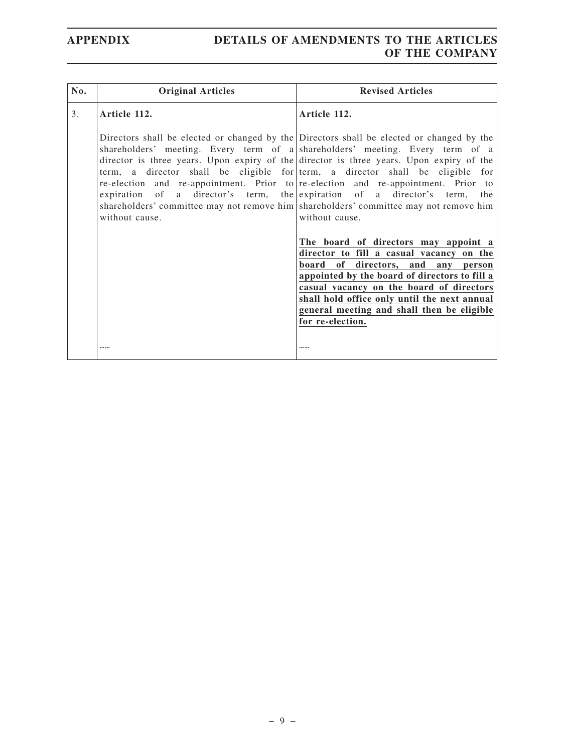# **APPENDIX DETAILS OF AMENDMENTS TO THE ARTICLES OF THE COMPANY**

| No. | <b>Original Articles</b> | <b>Revised Articles</b>                                                                                                                                                                                                                                                                                                                                                                                                                                                                                                                                                                                                                                                                                                                                                                                                                                                                                                                                     |
|-----|--------------------------|-------------------------------------------------------------------------------------------------------------------------------------------------------------------------------------------------------------------------------------------------------------------------------------------------------------------------------------------------------------------------------------------------------------------------------------------------------------------------------------------------------------------------------------------------------------------------------------------------------------------------------------------------------------------------------------------------------------------------------------------------------------------------------------------------------------------------------------------------------------------------------------------------------------------------------------------------------------|
| 3.  | Article 112.             | Article 112.                                                                                                                                                                                                                                                                                                                                                                                                                                                                                                                                                                                                                                                                                                                                                                                                                                                                                                                                                |
|     | without cause.           | Directors shall be elected or changed by the Directors shall be elected or changed by the<br>shareholders' meeting. Every term of a shareholders' meeting. Every term of a<br>director is three years. Upon expiry of the director is three years. Upon expiry of the<br>term, a director shall be eligible for term, a director shall be eligible for<br>re-election and re-appointment. Prior to re-election and re-appointment. Prior to<br>expiration of a director's term, the expiration of a director's term, the<br>shareholders' committee may not remove him shareholders' committee may not remove him<br>without cause.<br>The board of directors may appoint a<br>director to fill a casual vacancy on the<br>of directors, and any person<br>board<br>appointed by the board of directors to fill a<br>casual vacancy on the board of directors<br>shall hold office only until the next annual<br>general meeting and shall then be eligible |
|     |                          | for re-election.<br>                                                                                                                                                                                                                                                                                                                                                                                                                                                                                                                                                                                                                                                                                                                                                                                                                                                                                                                                        |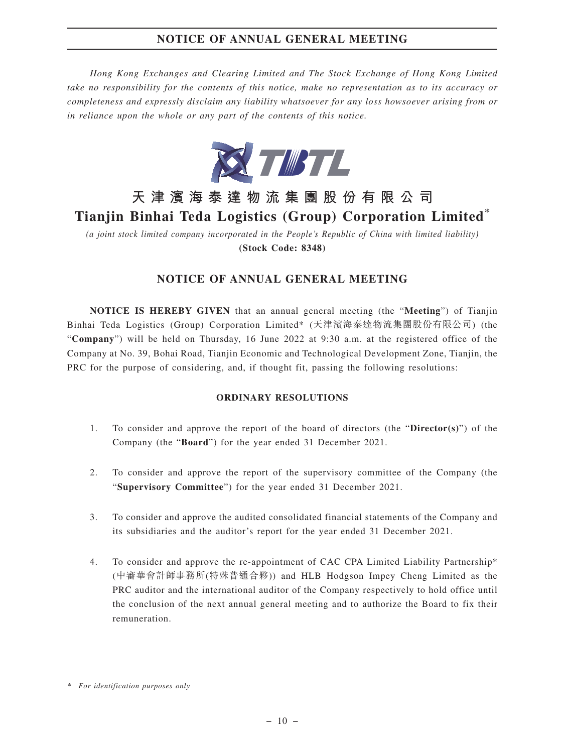# **NOTICE OF ANNUAL GENERAL MEETING**

*Hong Kong Exchanges and Clearing Limited and The Stock Exchange of Hong Kong Limited take no responsibility for the contents of this notice, make no representation as to its accuracy or completeness and expressly disclaim any liability whatsoever for any loss howsoever arising from or in reliance upon the whole or any part of the contents of this notice.*



# **天津濱海泰達物流集團股份有限公司 Tianjin Binhai Teda Logistics (Group) Corporation Limited\***

*(a joint stock limited company incorporated in the People's Republic of China with limited liability)* **(Stock Code: 8348)**

## **NOTICE OF ANNUAL GENERAL MEETING**

**NOTICE IS HEREBY GIVEN** that an annual general meeting (the "**Meeting**") of Tianjin Binhai Teda Logistics (Group) Corporation Limited\* (天津濱海泰達物流集團股份有限公司) (the "**Company**") will be held on Thursday, 16 June 2022 at 9:30 a.m. at the registered office of the Company at No. 39, Bohai Road, Tianjin Economic and Technological Development Zone, Tianjin, the PRC for the purpose of considering, and, if thought fit, passing the following resolutions:

#### **ORDINARY RESOLUTIONS**

- 1. To consider and approve the report of the board of directors (the "**Director(s)**") of the Company (the "**Board**") for the year ended 31 December 2021.
- 2. To consider and approve the report of the supervisory committee of the Company (the "**Supervisory Committee**") for the year ended 31 December 2021.
- 3. To consider and approve the audited consolidated financial statements of the Company and its subsidiaries and the auditor's report for the year ended 31 December 2021.
- 4. To consider and approve the re-appointment of CAC CPA Limited Liability Partnership\* (中審華會計師事務所(特殊普通合夥)) and HLB Hodgson Impey Cheng Limited as the PRC auditor and the international auditor of the Company respectively to hold office until the conclusion of the next annual general meeting and to authorize the Board to fix their remuneration.

*<sup>\*</sup> For identification purposes only*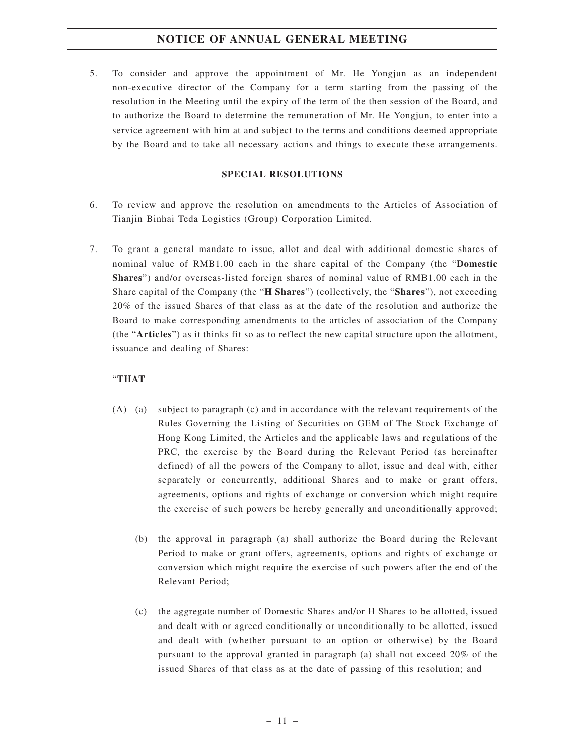# **NOTICE OF ANNUAL GENERAL MEETING**

5. To consider and approve the appointment of Mr. He Yongjun as an independent non-executive director of the Company for a term starting from the passing of the resolution in the Meeting until the expiry of the term of the then session of the Board, and to authorize the Board to determine the remuneration of Mr. He Yongjun, to enter into a service agreement with him at and subject to the terms and conditions deemed appropriate by the Board and to take all necessary actions and things to execute these arrangements.

#### **SPECIAL RESOLUTIONS**

- 6. To review and approve the resolution on amendments to the Articles of Association of Tianjin Binhai Teda Logistics (Group) Corporation Limited.
- 7. To grant a general mandate to issue, allot and deal with additional domestic shares of nominal value of RMB1.00 each in the share capital of the Company (the "**Domestic Shares**") and/or overseas-listed foreign shares of nominal value of RMB1.00 each in the Share capital of the Company (the "**H Shares**") (collectively, the "**Shares**"), not exceeding 20% of the issued Shares of that class as at the date of the resolution and authorize the Board to make corresponding amendments to the articles of association of the Company (the "**Articles**") as it thinks fit so as to reflect the new capital structure upon the allotment, issuance and dealing of Shares:

#### "**THAT**

- (A) (a) subject to paragraph (c) and in accordance with the relevant requirements of the Rules Governing the Listing of Securities on GEM of The Stock Exchange of Hong Kong Limited, the Articles and the applicable laws and regulations of the PRC, the exercise by the Board during the Relevant Period (as hereinafter defined) of all the powers of the Company to allot, issue and deal with, either separately or concurrently, additional Shares and to make or grant offers, agreements, options and rights of exchange or conversion which might require the exercise of such powers be hereby generally and unconditionally approved;
	- (b) the approval in paragraph (a) shall authorize the Board during the Relevant Period to make or grant offers, agreements, options and rights of exchange or conversion which might require the exercise of such powers after the end of the Relevant Period;
	- (c) the aggregate number of Domestic Shares and/or H Shares to be allotted, issued and dealt with or agreed conditionally or unconditionally to be allotted, issued and dealt with (whether pursuant to an option or otherwise) by the Board pursuant to the approval granted in paragraph (a) shall not exceed 20% of the issued Shares of that class as at the date of passing of this resolution; and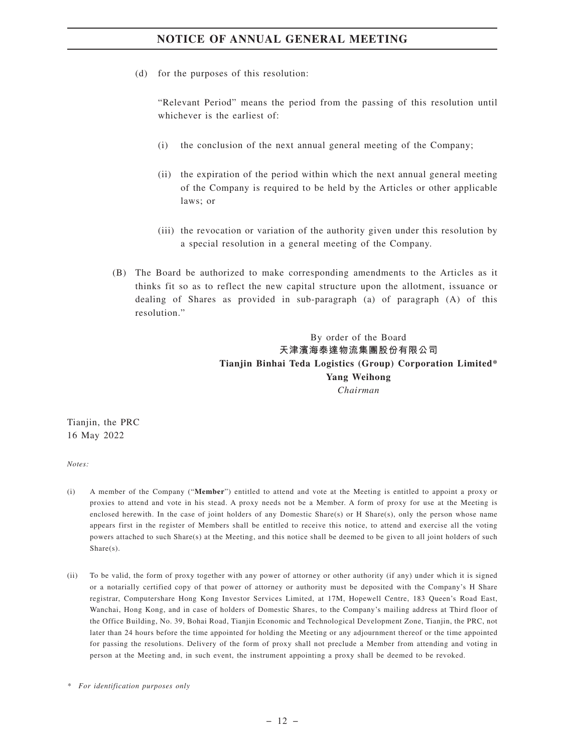(d) for the purposes of this resolution:

"Relevant Period" means the period from the passing of this resolution until whichever is the earliest of:

- (i) the conclusion of the next annual general meeting of the Company;
- (ii) the expiration of the period within which the next annual general meeting of the Company is required to be held by the Articles or other applicable laws; or
- (iii) the revocation or variation of the authority given under this resolution by a special resolution in a general meeting of the Company.
- (B) The Board be authorized to make corresponding amendments to the Articles as it thinks fit so as to reflect the new capital structure upon the allotment, issuance or dealing of Shares as provided in sub-paragraph (a) of paragraph (A) of this resolution."

By order of the Board **天津濱海泰達物流集團股份有限公司 Tianjin Binhai Teda Logistics (Group) Corporation Limited\* Yang Weihong** *Chairman*

Tianjin, the PRC 16 May 2022

*Notes:*

- (i) A member of the Company ("**Member**") entitled to attend and vote at the Meeting is entitled to appoint a proxy or proxies to attend and vote in his stead. A proxy needs not be a Member. A form of proxy for use at the Meeting is enclosed herewith. In the case of joint holders of any Domestic Share(s) or H Share(s), only the person whose name appears first in the register of Members shall be entitled to receive this notice, to attend and exercise all the voting powers attached to such Share(s) at the Meeting, and this notice shall be deemed to be given to all joint holders of such Share(s).
- (ii) To be valid, the form of proxy together with any power of attorney or other authority (if any) under which it is signed or a notarially certified copy of that power of attorney or authority must be deposited with the Company's H Share registrar, Computershare Hong Kong Investor Services Limited, at 17M, Hopewell Centre, 183 Queen's Road East, Wanchai, Hong Kong, and in case of holders of Domestic Shares, to the Company's mailing address at Third floor of the Office Building, No. 39, Bohai Road, Tianjin Economic and Technological Development Zone, Tianjin, the PRC, not later than 24 hours before the time appointed for holding the Meeting or any adjournment thereof or the time appointed for passing the resolutions. Delivery of the form of proxy shall not preclude a Member from attending and voting in person at the Meeting and, in such event, the instrument appointing a proxy shall be deemed to be revoked.

*<sup>\*</sup> For identification purposes only*